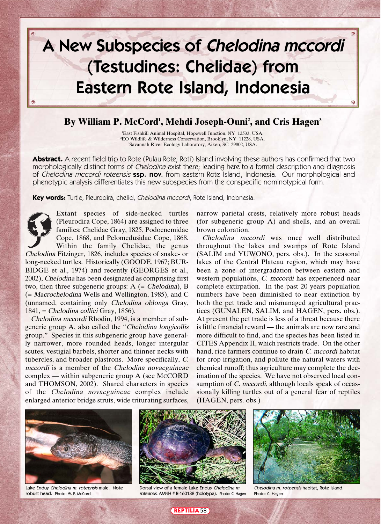# **A New Subspecies of Chelodina mccordi (Testudines: Chelidae) from Eastern Rote Island, Indonesia**

## **By William P. McCord1 , Mehdi Joseph-Ouni2 , and Cris Hagen3**

1 East Fishkill Animal Hospital, Hopewell Junction, NY 12533, USA. 2 EO Wildlife & Wilderness Conservation, Brooklyn, NY 11228, USA. 3 Savannah River Ecology Laboratory, Aiken, SC 29802, USA.

**Abstract.** A recent field trip to Rote (Pulau Rote; Roti) Island involving these authors has confirmed that two morphologically distinct forms of Chelodina exist there; leading here to a formal description and diagnosis of Chelodina mccordi roteensis **ssp. nov.** from eastern Rote Island, Indonesia. Our morphological and phenotypic analysis differentiates this new subspecies from the conspecific nominotypical form.

**Key words:** Turtle, Pleurodira, chelid, Chelodina mccordi, Rote Island, Indonesia.



Extant species of side-necked turtles (Pleurodira Cope, 1864) are assigned to three families: Chelidae Gray, 1825, Podocnemidae Cope, 1868, and Pelomedusidae Cope, 1868. Within the family Chelidae, the genus

Chelodina Fitzinger, 1826, includes species of snake- or long-necked turtles. Historically (GOODE, 1967; BUR-BIDGE et al., 1974) and recently (GEORGES et al., 2002), Chelodina has been designated as comprising first two, then three subgeneric groups:  $A$  (= Chelodina), B (= Macrochelodina Wells and Wellington, 1985), and C (unnamed, containing only Chelodina oblonga Gray, 1841, = Chelodina colliei Gray, 1856).

Chelodina mccordi Rhodin, 1994, is a member of subgeneric group A, also called the "Chelodina longicollis group." Species in this subgeneric group have generally narrower, more rounded heads, longer intergular scutes, vestigial barbels, shorter and thinner necks with tubercles, and broader plastrons. More specifically, C. mccordi is a member of the Chelodina novaeguineae complex — within subgeneric group A (see McCORD and THOMSON, 2002). Shared characters in species of the Chelodina novaeguineae complex include enlarged anterior bridge struts, wide triturating surfaces,

narrow parietal crests, relatively more robust heads (for subgeneric group A) and shells, and an overall brown coloration.

Chelodina mccordi was once well distributed throughout the lakes and swamps of Rote Island (SALIM and YUWONO, pers. obs.). In the seasonal lakes of the Central Plateau region, which may have been a zone of intergradation between eastern and western populations, C. mccordi has experienced near complete extirpation. In the past 20 years population numbers have been diminished to near extinction by both the pet trade and mismanaged agricultural practices (GUNALEN, SALIM, and HAGEN, pers. obs.). At present the pet trade is less of a threat because there is little financial reward — the animals are now rare and more difficult to find, and the species has been listed in CITES Appendix II, which restricts trade. On the other hand, rice farmers continue to drain C, mccordi habitat for crop irrigation, and pollute the natural waters with chemical runoff; thus agriculture may complete the decimation of the species. We have not observed local consumption of *C. mccordi*, although locals speak of occassionally killing turtles out of a general fear of reptiles (HAGEN, pers. obs.)



Lake Enduy Chelodina m. roteensis male. Note robust head. Photo: W. P. McCord



Dorsal view of a female Lake Enduy Chelodina m. roteensis. AMNH # R-160132 (holotype). Photo: C. Hagen



Chelodina m. roteensis habitat, Rote Island. Photo: C. Hagen

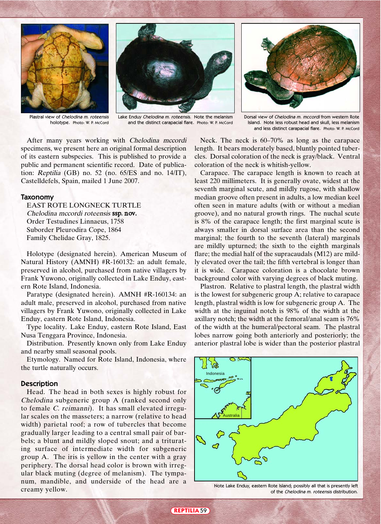





Dorsal view of Chelodina m. mccordi from western Rote Island. Note less robust head and skull, less melanism and less distinct carapacial flare. Photo: W. P. McCord

Plastral view of Chelodina m. roteensis holotype. Photo: W. P. McCord

Lake Enduy Chelodina m. roteensis. Note the melanism and the distinct carapacial flare. Photo: W. P. McCord

After many years working with Chelodina mccordi specimens, we present here an original formal description of its eastern subspecies. This is published to provide a public and permanent scientific record. Date of publication: Reptilia (GB) no. 52 (no. 65/ES and no. 14/IT), Castelldefels, Spain, mailed 1 June 2007.

#### **Taxonomy**

EAST ROTE LONGNECK TURTLE Chelodina mccordi roteensis ssp. nov. Order Testudines Linnaeus, 1758 Suborder Pleurodira Cope, 1864 Family Chelidae Gray, 1825.

Holotype (designated herein). American Museum of Natural History (AMNH) #R-160132: an adult female, preserved in alcohol, purchased from native villagers by Frank Yuwono, originally collected in Lake Enduy, eastern Rote Island, Indonesia.

Paratype (designated herein). AMNH #R-160134: an adult male, preserved in alcohol, purchased from native villagers by Frank Yuwono, originally collected in Lake Enduy, eastern Rote Island, Indonesia.

Type locality. Lake Enduy, eastern Rote Island, East Nusa Tenggara Province, Indonesia.

Distribution. Presently known only from Lake Enduy and nearby small seasonal pools.

Etymology. Named for Rote Island, Indonesia, where the turtle naturally occurs.

### **Description**

Head. The head in both sexes is highly robust for Chelodina subgeneric group A (ranked second only to female C. reimanni). It has small elevated irregular scales on the masseters; a narrow (relative to head width) parietal roof; a row of tubercles that become gradually larger leading to a central small pair of barbels; a blunt and mildly sloped snout; and a triturating surface of intermediate width for subgeneric group A. The iris is yellow in the center with a gray periphery. The dorsal head color is brown with irregular black muting (degree of melanism). The tympanum, mandible, and underside of the head are a creamy yellow.

Neck. The neck is 60–70% as long as the carapace length. It bears moderately based, bluntly pointed tubercles. Dorsal coloration of the neck is gray/black. Ventral coloration of the neck is whitish-yellow.

Carapace. The carapace length is known to reach at least 220 millimeters. It is generally ovate, widest at the seventh marginal scute, and mildly rugose, with shallow median groove often present in adults, a low median keel often seen in mature adults (with or without a median groove), and no natural growth rings. The nuchal scute is 8% of the carapace length; the first marginal scute is always smaller in dorsal surface area than the second marginal; the fourth to the seventh (lateral) marginals are mildly upturned; the sixth to the eighth marginals flare; the medial half of the supracaudals (M12) are mildly elevated over the tail; the fifth vertebral is longer than it is wide. Carapace coloration is a chocolate brown background color with varying degrees of black muting.

Plastron. Relative to plastral length, the plastral width is the lowest for subgeneric group A; relative to carapace length, plastral width is low for subgeneric group A. The width at the inguinal notch is 98% of the width at the axillary notch; the width at the femoral/anal seam is 76% of the width at the humeral/pectoral seam. The plastral lobes narrow going both anteriorly and posteriorly; the anterior plastral lobe is wider than the posterior plastral



Note Lake Enduy, eastern Rote Island; possibly all that is presently left of the Chelodina m. roteensis distribution.

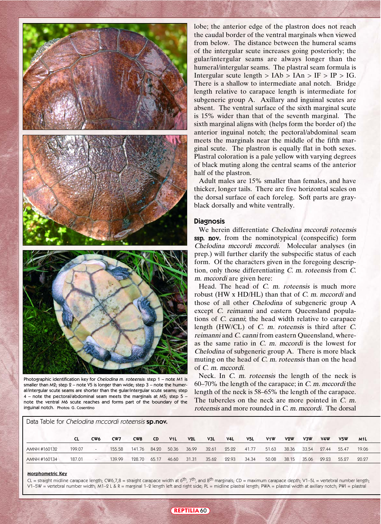

Photographic identification key for Chelodina m. roteensis: step 1 – note M1 is smaller than  $M2$ ; step  $2 -$  note V5 is longer than wide; step  $3 -$  note the humeral/intergular scute seams are shorter than the gular/intergular scute seams; step  $4$  – note the pectoral/abdominal seam meets the marginals at M5; step 5 – note the ventral M6 scute reaches and forms part of the boundary of the inguinal notch. Photos: G. Cosentino

Data Table for Chelodina mccordi roteensis **sp.nov.**

lobe; the anterior edge of the plastron does not reach the caudal border of the ventral marginals when viewed from below. The distance between the humeral seams of the intergular scute increases going posteriorly; the gular/intergular seams are always longer than the humeral/intergular seams. The plastral seam formula is Intergular scute length  $> IAb > IAn > IF > IP > IG$ . There is a shallow to intermediate anal notch. Bridge length relative to carapace length is intermediate for subgeneric group A. Axillary and inguinal scutes are absent. The ventral surface of the sixth marginal scute is 15% wider than that of the seventh marginal. The sixth marginal aligns with (helps form the border of) the anterior inguinal notch; the pectoral/abdominal seam meets the marginals near the middle of the fifth marginal scute. The plastron is equally flat in both sexes. Plastral coloration is a pale yellow with varying degrees of black muting along the central seams of the anterior half of the plastron.

Adult males are 15% smaller than females, and have thicker, longer tails. There are five horizontal scales on the dorsal surface of each foreleg. Soft parts are grayblack dorsally and white ventrally.

#### **Diagnosis**

We herein differentiate Chelodina mccordi roteensis ssp. nov. from the nominotypical (conspecific) form Chelodina mccordi mccordi. Molecular analyses (in prep.) will further clarify the subspecific status of each form. Of the characters given in the foregoing description, only those differentiating C. m. roteensis from C. m. mccordi are given here:

Head. The head of C. m. roteensis is much more robust (HW x HD/HL) than that of C. m. mccordi and those of all other Chelodina of subgeneric group A except C. reimanni and eastern Queensland populations of C. canni; the head width relative to carapace length (HW/CL) of C. m. roteensis is third after C. reimanni and C. canni from eastern Queensland, whereas the same ratio in C. m. mccordi is the lowest for Chelodina of subgeneric group A. There is more black muting on the head of C. m. roteensis than on the head of C. m. mccordi.

Neck. In *C. m. roteensis* the length of the neck is 60–70% the length of the carapace; in  $C$ . m. mccordi the length of the neck is 58–65% the length of the carapace. The tubercles on the neck are more pointed in C. m. roteensis and more rounded in C. m. mccordi. The dorsal

|                                                                                                             |  | CL CW6 CW7 CW8 CD V1L V2L V3L V4L V5L V1W V2W V3W V4W V5W M1L |  |  |  |  |  |  |  |
|-------------------------------------------------------------------------------------------------------------|--|---------------------------------------------------------------|--|--|--|--|--|--|--|
| AMNH #160132 199.07 - 155.58 141.76 84.20 50.36 36.99 32.61 25.22 41.77 51.63 38.36 33.54 27.44 55.47 19.06 |  |                                                               |  |  |  |  |  |  |  |
| AMNH#160134 187.01 - 139.99 128.70 65.17 46.60 31.31 35.62 22.93 34.34 50.08 38.15 35.06 29.23 55.27 20.27  |  |                                                               |  |  |  |  |  |  |  |

#### **Morphometric Key**

CL = straight midline carapace length; CW6,7,8 = straight carapace width at 6<sup>th</sup>, 7<sup>th</sup>, and 8<sup>th</sup> marginals; CD = maximum carapace depth; V1–5L = vertebral number length; V1–5W = vertebral number width; M1–2 L & R = marginal 1–2 length left and right side; PL = midline plastral length; PWA = plastral width at axillary notch; PWI = plastral